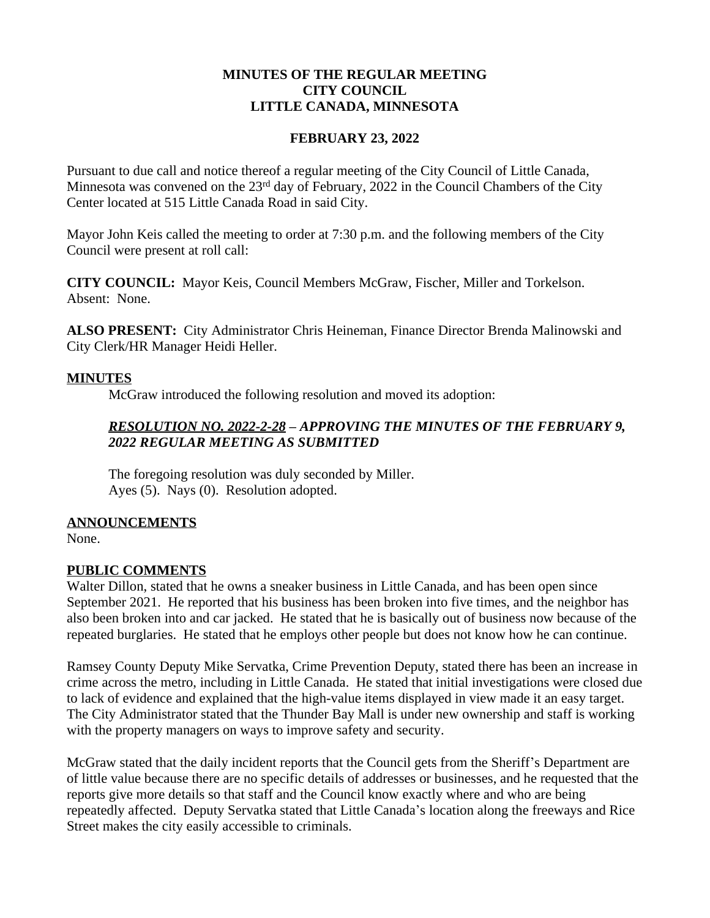#### **MINUTES OF THE REGULAR MEETING CITY COUNCIL LITTLE CANADA, MINNESOTA**

#### **FEBRUARY 23, 2022**

Pursuant to due call and notice thereof a regular meeting of the City Council of Little Canada, Minnesota was convened on the 23<sup>rd</sup> day of February, 2022 in the Council Chambers of the City Center located at 515 Little Canada Road in said City.

Mayor John Keis called the meeting to order at 7:30 p.m. and the following members of the City Council were present at roll call:

**CITY COUNCIL:** Mayor Keis, Council Members McGraw, Fischer, Miller and Torkelson. Absent: None.

**ALSO PRESENT:** City Administrator Chris Heineman, Finance Director Brenda Malinowski and City Clerk/HR Manager Heidi Heller.

#### **MINUTES**

McGraw introduced the following resolution and moved its adoption:

# *RESOLUTION NO. 2022-2-28 – APPROVING THE MINUTES OF THE FEBRUARY 9, 2022 REGULAR MEETING AS SUBMITTED*

The foregoing resolution was duly seconded by Miller. Ayes (5). Nays (0). Resolution adopted.

## **ANNOUNCEMENTS**

None.

## **PUBLIC COMMENTS**

Walter Dillon, stated that he owns a sneaker business in Little Canada, and has been open since September 2021. He reported that his business has been broken into five times, and the neighbor has also been broken into and car jacked. He stated that he is basically out of business now because of the repeated burglaries. He stated that he employs other people but does not know how he can continue.

Ramsey County Deputy Mike Servatka, Crime Prevention Deputy, stated there has been an increase in crime across the metro, including in Little Canada. He stated that initial investigations were closed due to lack of evidence and explained that the high-value items displayed in view made it an easy target. The City Administrator stated that the Thunder Bay Mall is under new ownership and staff is working with the property managers on ways to improve safety and security.

McGraw stated that the daily incident reports that the Council gets from the Sheriff's Department are of little value because there are no specific details of addresses or businesses, and he requested that the reports give more details so that staff and the Council know exactly where and who are being repeatedly affected. Deputy Servatka stated that Little Canada's location along the freeways and Rice Street makes the city easily accessible to criminals.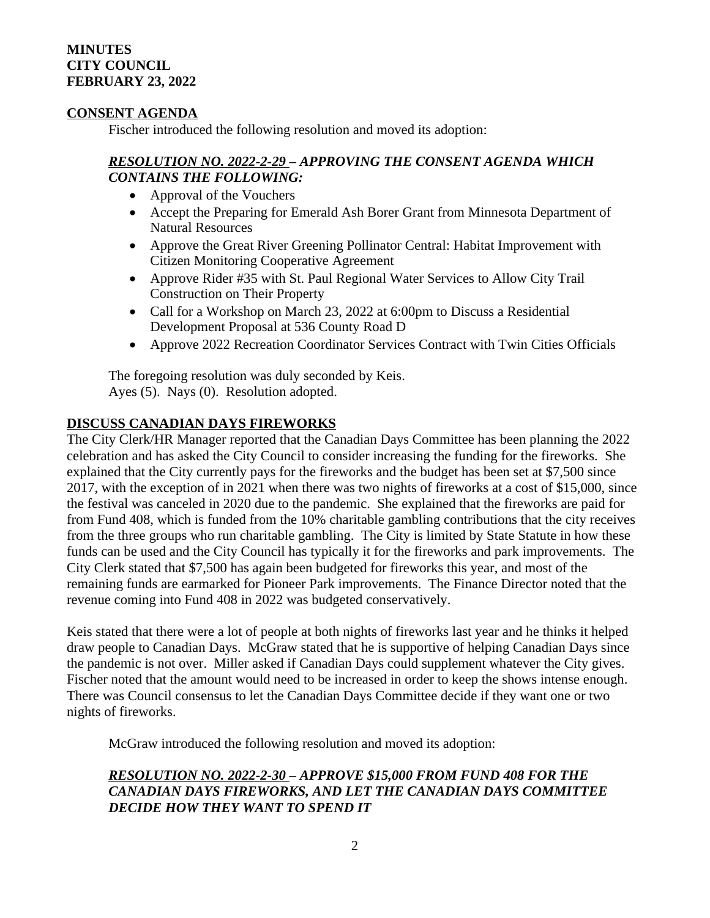#### **MINUTES CITY COUNCIL FEBRUARY 23, 2022**

#### **CONSENT AGENDA**

Fischer introduced the following resolution and moved its adoption:

#### *RESOLUTION NO. 2022-2-29 – APPROVING THE CONSENT AGENDA WHICH CONTAINS THE FOLLOWING:*

- Approval of the Vouchers
- Accept the Preparing for Emerald Ash Borer Grant from Minnesota Department of Natural Resources
- Approve the Great River Greening Pollinator Central: Habitat Improvement with Citizen Monitoring Cooperative Agreement
- Approve Rider #35 with St. Paul Regional Water Services to Allow City Trail Construction on Their Property
- Call for a Workshop on March 23, 2022 at 6:00pm to Discuss a Residential Development Proposal at 536 County Road D
- Approve 2022 Recreation Coordinator Services Contract with Twin Cities Officials

The foregoing resolution was duly seconded by Keis. Ayes (5). Nays (0). Resolution adopted.

# **DISCUSS CANADIAN DAYS FIREWORKS**

The City Clerk/HR Manager reported that the Canadian Days Committee has been planning the 2022 celebration and has asked the City Council to consider increasing the funding for the fireworks. She explained that the City currently pays for the fireworks and the budget has been set at \$7,500 since 2017, with the exception of in 2021 when there was two nights of fireworks at a cost of \$15,000, since the festival was canceled in 2020 due to the pandemic. She explained that the fireworks are paid for from Fund 408, which is funded from the 10% charitable gambling contributions that the city receives from the three groups who run charitable gambling. The City is limited by State Statute in how these funds can be used and the City Council has typically it for the fireworks and park improvements. The City Clerk stated that \$7,500 has again been budgeted for fireworks this year, and most of the remaining funds are earmarked for Pioneer Park improvements. The Finance Director noted that the revenue coming into Fund 408 in 2022 was budgeted conservatively.

Keis stated that there were a lot of people at both nights of fireworks last year and he thinks it helped draw people to Canadian Days. McGraw stated that he is supportive of helping Canadian Days since the pandemic is not over. Miller asked if Canadian Days could supplement whatever the City gives. Fischer noted that the amount would need to be increased in order to keep the shows intense enough. There was Council consensus to let the Canadian Days Committee decide if they want one or two nights of fireworks.

McGraw introduced the following resolution and moved its adoption:

# *RESOLUTION NO. 2022-2-30 – APPROVE \$15,000 FROM FUND 408 FOR THE CANADIAN DAYS FIREWORKS, AND LET THE CANADIAN DAYS COMMITTEE DECIDE HOW THEY WANT TO SPEND IT*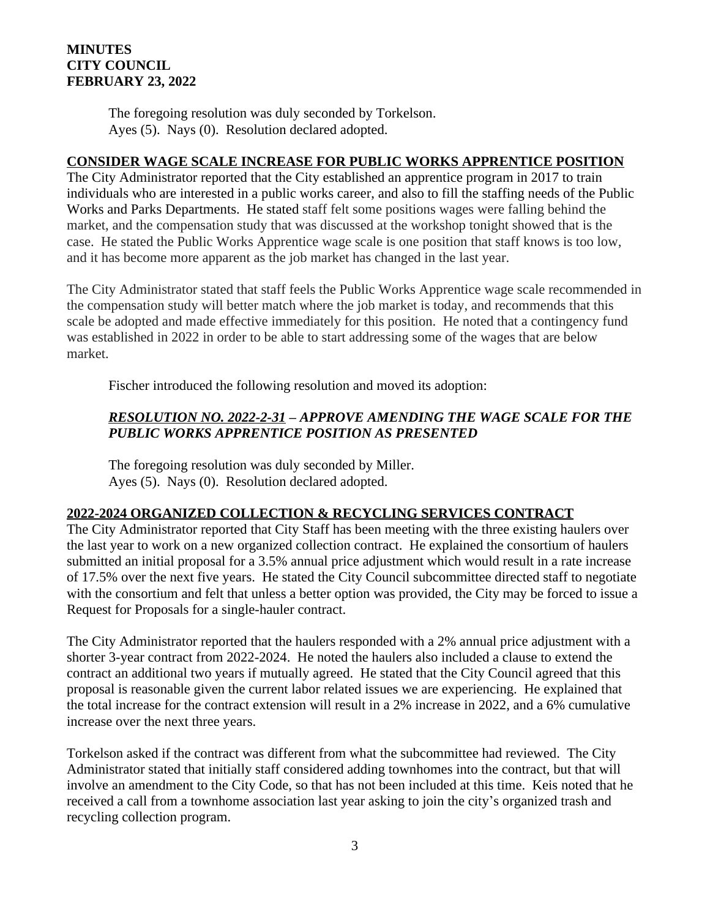## **MINUTES CITY COUNCIL FEBRUARY 23, 2022**

The foregoing resolution was duly seconded by Torkelson. Ayes (5). Nays (0). Resolution declared adopted.

#### **CONSIDER WAGE SCALE INCREASE FOR PUBLIC WORKS APPRENTICE POSITION**

The City Administrator reported that the City established an apprentice program in 2017 to train individuals who are interested in a public works career, and also to fill the staffing needs of the Public Works and Parks Departments. He stated staff felt some positions wages were falling behind the market, and the compensation study that was discussed at the workshop tonight showed that is the case. He stated the Public Works Apprentice wage scale is one position that staff knows is too low, and it has become more apparent as the job market has changed in the last year.

The City Administrator stated that staff feels the Public Works Apprentice wage scale recommended in the compensation study will better match where the job market is today, and recommends that this scale be adopted and made effective immediately for this position. He noted that a contingency fund was established in 2022 in order to be able to start addressing some of the wages that are below market.

Fischer introduced the following resolution and moved its adoption:

# *RESOLUTION NO. 2022-2-31 – APPROVE AMENDING THE WAGE SCALE FOR THE PUBLIC WORKS APPRENTICE POSITION AS PRESENTED*

The foregoing resolution was duly seconded by Miller. Ayes (5). Nays (0). Resolution declared adopted.

# **2022-2024 ORGANIZED COLLECTION & RECYCLING SERVICES CONTRACT**

The City Administrator reported that City Staff has been meeting with the three existing haulers over the last year to work on a new organized collection contract. He explained the consortium of haulers submitted an initial proposal for a 3.5% annual price adjustment which would result in a rate increase of 17.5% over the next five years. He stated the City Council subcommittee directed staff to negotiate with the consortium and felt that unless a better option was provided, the City may be forced to issue a Request for Proposals for a single-hauler contract.

The City Administrator reported that the haulers responded with a 2% annual price adjustment with a shorter 3-year contract from 2022-2024. He noted the haulers also included a clause to extend the contract an additional two years if mutually agreed. He stated that the City Council agreed that this proposal is reasonable given the current labor related issues we are experiencing. He explained that the total increase for the contract extension will result in a 2% increase in 2022, and a 6% cumulative increase over the next three years.

Torkelson asked if the contract was different from what the subcommittee had reviewed. The City Administrator stated that initially staff considered adding townhomes into the contract, but that will involve an amendment to the City Code, so that has not been included at this time. Keis noted that he received a call from a townhome association last year asking to join the city's organized trash and recycling collection program.